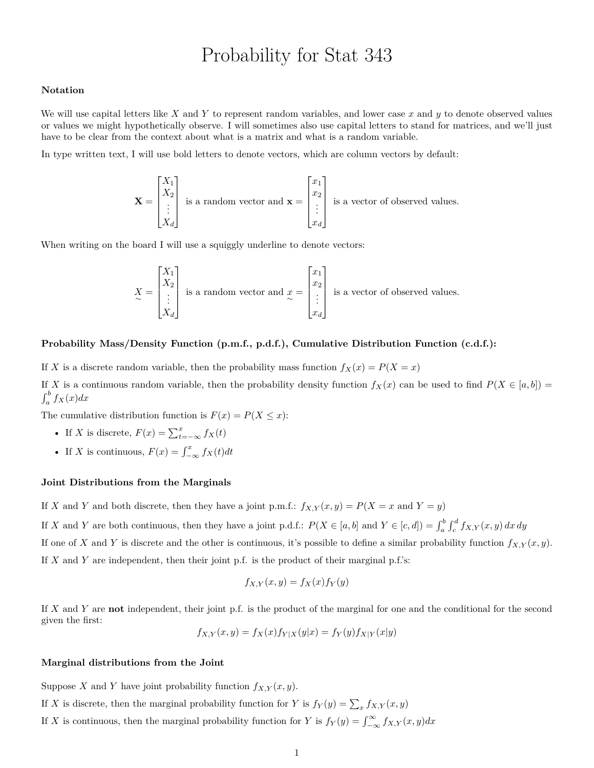# Probability for Stat 343

## **Notation**

We will use capital letters like *X* and *Y* to represent random variables, and lower case *x* and *y* to denote observed values or values we might hypothetically observe. I will sometimes also use capital letters to stand for matrices, and we'll just have to be clear from the context about what is a matrix and what is a random variable.

In type written text, I will use bold letters to denote vectors, which are column vectors by default:

$$
\mathbf{X} = \begin{bmatrix} X_1 \\ X_2 \\ \vdots \\ X_d \end{bmatrix}
$$
 is a random vector and 
$$
\mathbf{x} = \begin{bmatrix} x_1 \\ x_2 \\ \vdots \\ x_d \end{bmatrix}
$$
 is a vector of observed values.

When writing on the board I will use a squiggly underline to denote vectors:

$$
X = \begin{bmatrix} X_1 \\ X_2 \\ \vdots \\ X_d \end{bmatrix}
$$
 is a random vector and 
$$
x = \begin{bmatrix} x_1 \\ x_2 \\ \vdots \\ x_d \end{bmatrix}
$$
 is a vector of observed values.

### **Probability Mass/Density Function (p.m.f., p.d.f.), Cumulative Distribution Function (c.d.f.):**

If *X* is a discrete random variable, then the probability mass function  $f_X(x) = P(X = x)$ 

If *X* is a continuous random variable, then the probability density function  $f_X(x)$  can be used to find  $P(X \in [a, b])$  $\int_a^b f_X(x)dx$ 

The cumulative distribution function is  $F(x) = P(X \leq x)$ :

- If *X* is discrete,  $F(x) = \sum_{t=-\infty}^{x} f_X(t)$
- If *X* is continuous,  $F(x) = \int_{-\infty}^{x} f_X(t) dt$

#### **Joint Distributions from the Marginals**

If *X* and *Y* and both discrete, then they have a joint p.m.f.:  $f_{X,Y}(x,y) = P(X = x \text{ and } Y = y)$ 

If X and Y are both continuous, then they have a joint p.d.f.:  $P(X \in [a, b] \text{ and } Y \in [c, d]) = \int_a^b \int_c^d f_{X,Y}(x, y) dx dy$ If one of *X* and *Y* is discrete and the other is continuous, it's possible to define a similar probability function  $f_{X,Y}(x, y)$ . If *X* and *Y* are independent, then their joint p.f. is the product of their marginal p.f.'s:

$$
f_{X,Y}(x,y) = f_X(x) f_Y(y)
$$

If *X* and *Y* are **not** independent, their joint p.f. is the product of the marginal for one and the conditional for the second given the first:

$$
f_{X,Y}(x,y) = f_X(x) f_{Y|X}(y|x) = f_Y(y) f_{X|Y}(x|y)
$$

### **Marginal distributions from the Joint**

Suppose *X* and *Y* have joint probability function  $f_{X,Y}(x, y)$ .

- If *X* is discrete, then the marginal probability function for *Y* is  $f_Y(y) = \sum_x f_{X,Y}(x, y)$
- If *X* is continuous, then the marginal probability function for *Y* is  $f_Y(y) = \int_{-\infty}^{\infty} f_{X,Y}(x, y) dx$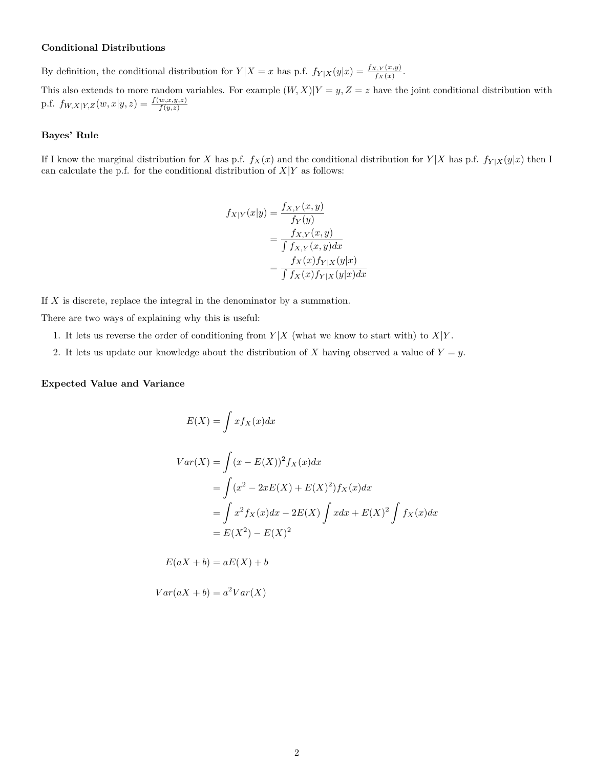## **Conditional Distributions**

By definition, the conditional distribution for  $Y|X=x$  has p.f.  $f_{Y|X}(y|x) = \frac{f_{X,Y}(x,y)}{f_X(x)}$ .

This also extends to more random variables. For example  $(W, X)|Y = y, Z = z$  have the joint conditional distribution with p.f.  $f_{W,X|Y,Z}(w,x|y,z) = \frac{f(w,x,y,z)}{f(y,z)}$ 

### **Bayes' Rule**

If I know the marginal distribution for *X* has p.f.  $f_X(x)$  and the conditional distribution for  $Y|X$  has p.f.  $f_{Y|X}(y|x)$  then I can calculate the p.f. for the conditional distribution of  $X|Y$  as follows:

$$
f_{X|Y}(x|y) = \frac{f_{X,Y}(x,y)}{f_Y(y)}
$$
  
= 
$$
\frac{f_{X,Y}(x,y)}{\int f_{X,Y}(x,y)dx}
$$
  
= 
$$
\frac{f_X(x)f_{Y|X}(y|x)}{\int f_X(x)f_{Y|X}(y|x)dx}
$$

If *X* is discrete, replace the integral in the denominator by a summation.

There are two ways of explaining why this is useful:

- 1. It lets us reverse the order of conditioning from  $Y|X$  (what we know to start with) to  $X|Y$ .
- 2. It lets us update our knowledge about the distribution of *X* having observed a value of  $Y = y$ .

#### **Expected Value and Variance**

$$
E(X) = \int x f_X(x) dx
$$
  
\n
$$
Var(X) = \int (x - E(X))^2 f_X(x) dx
$$
  
\n
$$
= \int (x^2 - 2xE(X) + E(X)^2) f_X(x) dx
$$
  
\n
$$
= \int x^2 f_X(x) dx - 2E(X) \int x dx + E(X)^2 \int f_X(x) dx
$$
  
\n
$$
= E(X^2) - E(X)^2
$$

 $E(aX + b) = aE(X) + b$ 

 $Var(aX + b) = a^2Var(X)$